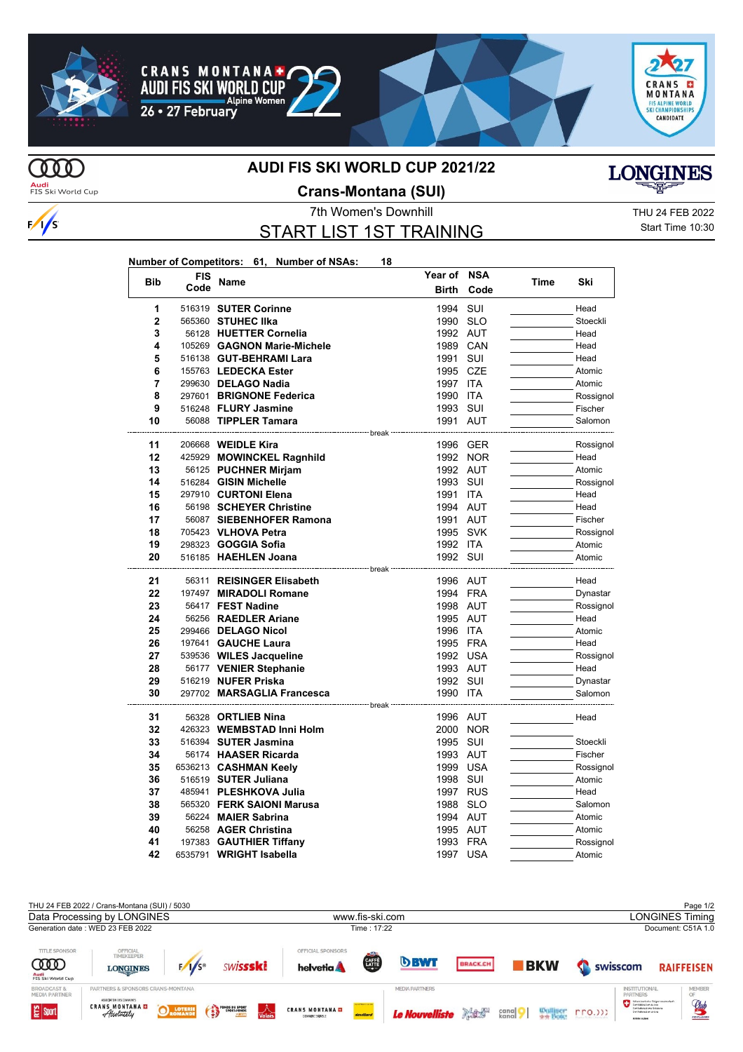





## **MD**

 $\frac{1}{s}$ 

## **AUDI FIS SKI WORLD CUP 2021/22**



## **Crans-Montana (SUI)**

START LIST 1ST TRAINING

**Year of NSA**

7th Women's Downhill Thursday of the THU 24 FEB 2022 Start Time 10:30

**LONGINES** 

| <b>Bib</b>     | FIS<br>Code | Name                                                      | Year of<br><b>Birth</b>           | <b>NSA</b><br>Code | Time | Ski                 |
|----------------|-------------|-----------------------------------------------------------|-----------------------------------|--------------------|------|---------------------|
| 1              |             | 516319 SUTER Corinne                                      | 1994                              | SUI                |      | Head                |
| $\overline{2}$ |             | 565360 STUHEC IIka                                        | 1990                              | <b>SLO</b>         |      | Stoeckli            |
| 3              |             | 56128 HUETTER Cornelia                                    | 1992 AUT                          |                    |      | Head                |
| 4              |             | 105269 GAGNON Marie-Michele                               | 1989 CAN                          |                    |      | Head                |
| 5              |             | 516138 GUT-BEHRAMI Lara                                   | 1991                              | SUI                |      | Head                |
| 6              |             | 155763 LEDECKA Ester                                      | 1995 CZE                          |                    |      | Atomic              |
| 7              |             | 299630 DELAGO Nadia                                       | 1997                              | <b>ITA</b>         |      | Atomic              |
| 8              |             | 297601 BRIGNONE Federica                                  | 1990                              | <b>ITA</b>         |      | Rossignol           |
| 9              |             | 516248 FLURY Jasmine                                      | 1993 SUI                          |                    |      | Fischer             |
| 10             |             | 56088 TIPPLER Tamara                                      | 1991 AUT                          |                    |      | Salomon             |
| 11             |             | ---------------------- break<br>206668 <b>WEIDLE Kira</b> |                                   | 1996 GER           |      | Rossignol           |
| 12             |             | 425929 MOWINCKEL Ragnhild                                 |                                   | 1992 NOR           |      | Head                |
| 13             |             | 56125 PUCHNER Mirjam                                      | 1992 AUT                          |                    |      | Atomic              |
| 14             |             | 516284 GISIN Michelle                                     | 1993 SUI                          |                    |      | Rossignol           |
| 15             |             | 297910 CURTONI Elena                                      | 1991                              | <b>ITA</b>         |      | Head                |
| 16             |             | 56198 SCHEYER Christine                                   | 1994 AUT                          |                    |      | Head                |
| 17             |             | 56087 SIEBENHOFER Ramona                                  | 1991 AUT                          |                    |      | Fischer             |
| 18             |             | 705423 VLHOVA Petra                                       | 1995 SVK                          |                    |      | Rossignol           |
| 19             |             | 298323 <b>GOGGIA Sofia</b>                                | 1992 ITA                          |                    |      | Atomic              |
| 20             |             | 516185 HAEHLEN Joana                                      | 1992 SUI                          |                    |      | Atomic              |
|                |             |                                                           | <del>่</del> ∵ break <sup>.</sup> |                    |      |                     |
| 21             |             | 56311 REISINGER Elisabeth                                 | 1996 AUT                          |                    |      | Head                |
| 22             |             | 197497 MIRADOLI Romane                                    | 1994 FRA                          |                    |      | Dynastar            |
| 23             |             | 56417 FEST Nadine                                         | 1998 AUT                          |                    |      | Rossignol           |
| 24             |             | 56256 RAEDLER Ariane                                      | 1995 AUT                          |                    |      | Head                |
| 25             |             | 299466 DELAGO Nicol                                       | 1996 ITA                          |                    |      | Atomic              |
| 26             |             | 197641 GAUCHE Laura                                       | 1995 FRA                          |                    |      | Head                |
| 27             |             | 539536 WILES Jacqueline                                   | 1992 USA                          |                    |      | Rossignol           |
| 28             |             | 56177 VENIER Stephanie                                    | 1993 AUT                          |                    |      | Head                |
| 29             |             | 516219 NUFER Priska                                       | 1992 SUI                          |                    |      | Dynastar            |
| 30             |             | 297702 MARSAGLIA Francesca                                | 1990                              | ITA                |      | Salomon             |
| 31             |             | --------------------- break ·<br>56328 ORTLIEB Nina       |                                   |                    |      |                     |
| 32             |             | 426323 WEMBSTAD Inni Holm                                 | 1996 AUT                          |                    |      | Head                |
| 33             |             | 516394 SUTER Jasmina                                      | 1995 SUI                          | 2000 NOR           |      | Stoeckli            |
| 34             |             | 56174 HAASER Ricarda                                      | 1993 AUT                          |                    |      | Fischer             |
| 35             |             | 6536213 CASHMAN Keelv                                     | 1999 USA                          |                    |      |                     |
| 36             |             | 516519 SUTER Juliana                                      | 1998 SUI                          |                    |      | Rossignol<br>Atomic |
| 37             |             | 485941 PLESHKOVA Julia                                    |                                   |                    |      |                     |
| 38             |             | 565320 FERK SAIONI Marusa                                 | 1997 RUS<br>1988                  | <b>SLO</b>         |      | Head<br>Salomon     |
| 39             |             | 56224 MAIER Sabrina                                       | 1994 AUT                          |                    |      | Atomic              |
| 40             |             | 56258 AGER Christina                                      | 1995 AUT                          |                    |      | Atomic              |
| 41             |             | 197383 GAUTHIER Tiffany                                   | 1993 FRA                          |                    |      | Rossignol           |
| 42             |             | 6535791 WRIGHT Isabella                                   | 1997                              | USA                |      | Atomic              |
|                |             |                                                           |                                   |                    |      |                     |